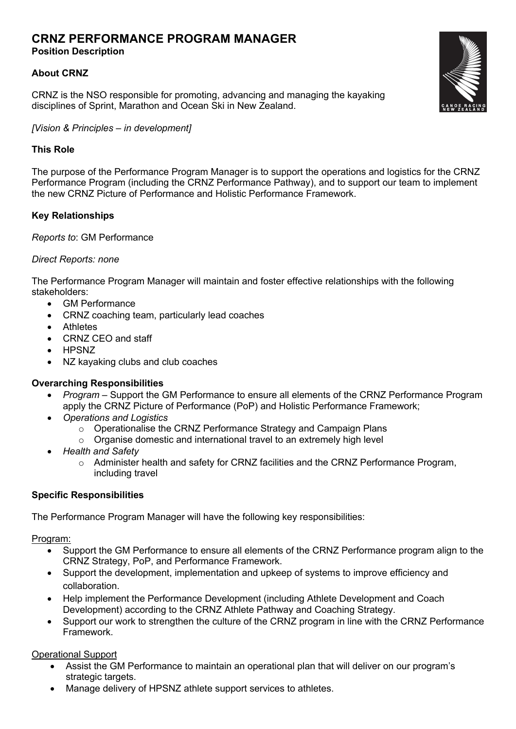# **CRNZ PERFORMANCE PROGRAM MANAGER**

# **Position Description**

# **About CRNZ**

CRNZ is the NSO responsible for promoting, advancing and managing the kayaking disciplines of Sprint, Marathon and Ocean Ski in New Zealand.

*[Vision & Principles – in development]*

# **This Role**

The purpose of the Performance Program Manager is to support the operations and logistics for the CRNZ Performance Program (including the CRNZ Performance Pathway), and to support our team to implement the new CRNZ Picture of Performance and Holistic Performance Framework.

# **Key Relationships**

*Reports to*: GM Performance

## *Direct Reports: none*

The Performance Program Manager will maintain and foster effective relationships with the following stakeholders:

- GM Performance
- CRNZ coaching team, particularly lead coaches
- Athletes
- CRNZ CEO and staff
- HPSNZ
- NZ kayaking clubs and club coaches

# **Overarching Responsibilities**

- *Program –* Support the GM Performance to ensure all elements of the CRNZ Performance Program apply the CRNZ Picture of Performance (PoP) and Holistic Performance Framework;
- *Operations and Logistics*
	- o Operationalise the CRNZ Performance Strategy and Campaign Plans
	- o Organise domestic and international travel to an extremely high level
- *Health and Safety*
	- $\circ$  Administer health and safety for CRNZ facilities and the CRNZ Performance Program, including travel

### **Specific Responsibilities**

The Performance Program Manager will have the following key responsibilities:

### Program:

- Support the GM Performance to ensure all elements of the CRNZ Performance program align to the CRNZ Strategy, PoP, and Performance Framework.
- Support the development, implementation and upkeep of systems to improve efficiency and collaboration.
- Help implement the Performance Development (including Athlete Development and Coach Development) according to the CRNZ Athlete Pathway and Coaching Strategy.
- Support our work to strengthen the culture of the CRNZ program in line with the CRNZ Performance Framework.

Operational Support

- Assist the GM Performance to maintain an operational plan that will deliver on our program's strategic targets.
- Manage delivery of HPSNZ athlete support services to athletes.